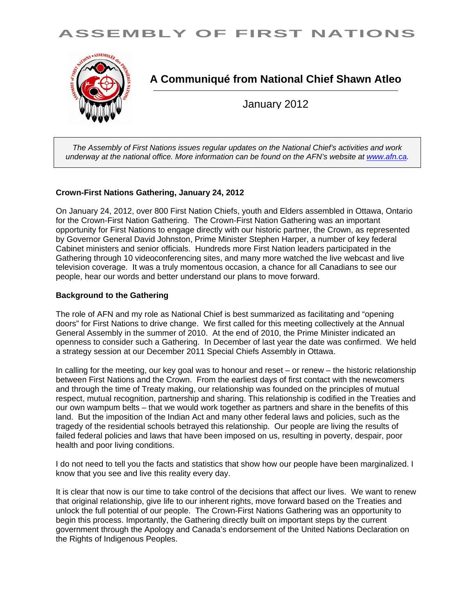



**A Communiqué from National Chief Shawn Atleo** 

January 2012

*The Assembly of First Nations issues regular updates on the National Chief's activities and work underway at the national office. More information can be found on the AFN's website at www.afn.ca.* 

# **Crown-First Nations Gathering, January 24, 2012**

On January 24, 2012, over 800 First Nation Chiefs, youth and Elders assembled in Ottawa, Ontario for the Crown-First Nation Gathering. The Crown-First Nation Gathering was an important opportunity for First Nations to engage directly with our historic partner, the Crown, as represented by Governor General David Johnston, Prime Minister Stephen Harper, a number of key federal Cabinet ministers and senior officials. Hundreds more First Nation leaders participated in the Gathering through 10 videoconferencing sites, and many more watched the live webcast and live television coverage. It was a truly momentous occasion, a chance for all Canadians to see our people, hear our words and better understand our plans to move forward.

### **Background to the Gathering**

The role of AFN and my role as National Chief is best summarized as facilitating and "opening doors" for First Nations to drive change. We first called for this meeting collectively at the Annual General Assembly in the summer of 2010. At the end of 2010, the Prime Minister indicated an openness to consider such a Gathering. In December of last year the date was confirmed. We held a strategy session at our December 2011 Special Chiefs Assembly in Ottawa.

In calling for the meeting, our key goal was to honour and reset – or renew – the historic relationship between First Nations and the Crown. From the earliest days of first contact with the newcomers and through the time of Treaty making, our relationship was founded on the principles of mutual respect, mutual recognition, partnership and sharing. This relationship is codified in the Treaties and our own wampum belts – that we would work together as partners and share in the benefits of this land. But the imposition of the Indian Act and many other federal laws and policies, such as the tragedy of the residential schools betrayed this relationship. Our people are living the results of failed federal policies and laws that have been imposed on us, resulting in poverty, despair, poor health and poor living conditions.

I do not need to tell you the facts and statistics that show how our people have been marginalized. I know that you see and live this reality every day.

It is clear that now is our time to take control of the decisions that affect our lives. We want to renew that original relationship, give life to our inherent rights, move forward based on the Treaties and unlock the full potential of our people. The Crown-First Nations Gathering was an opportunity to begin this process. Importantly, the Gathering directly built on important steps by the current government through the Apology and Canada's endorsement of the United Nations Declaration on the Rights of Indigenous Peoples.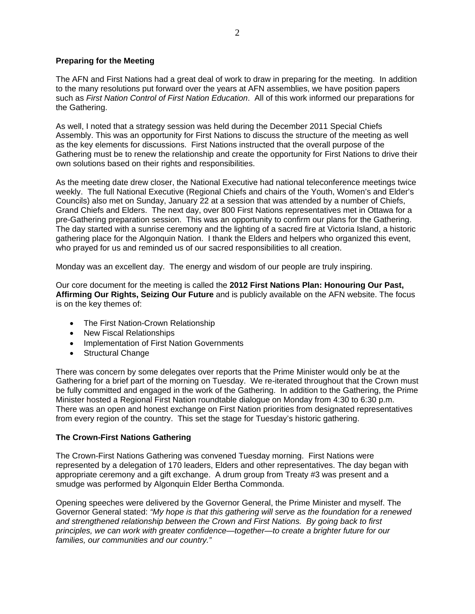## **Preparing for the Meeting**

The AFN and First Nations had a great deal of work to draw in preparing for the meeting. In addition to the many resolutions put forward over the years at AFN assemblies, we have position papers such as *First Nation Control of First Nation Education*. All of this work informed our preparations for the Gathering.

As well, I noted that a strategy session was held during the December 2011 Special Chiefs Assembly. This was an opportunity for First Nations to discuss the structure of the meeting as well as the key elements for discussions. First Nations instructed that the overall purpose of the Gathering must be to renew the relationship and create the opportunity for First Nations to drive their own solutions based on their rights and responsibilities.

As the meeting date drew closer, the National Executive had national teleconference meetings twice weekly. The full National Executive (Regional Chiefs and chairs of the Youth, Women's and Elder's Councils) also met on Sunday, January 22 at a session that was attended by a number of Chiefs, Grand Chiefs and Elders. The next day, over 800 First Nations representatives met in Ottawa for a pre-Gathering preparation session. This was an opportunity to confirm our plans for the Gathering. The day started with a sunrise ceremony and the lighting of a sacred fire at Victoria Island, a historic gathering place for the Algonquin Nation. I thank the Elders and helpers who organized this event, who prayed for us and reminded us of our sacred responsibilities to all creation.

Monday was an excellent day. The energy and wisdom of our people are truly inspiring.

Our core document for the meeting is called the **2012 First Nations Plan: Honouring Our Past, Affirming Our Rights, Seizing Our Future** and is publicly available on the AFN website. The focus is on the key themes of:

- The First Nation-Crown Relationship
- New Fiscal Relationships
- Implementation of First Nation Governments
- Structural Change

There was concern by some delegates over reports that the Prime Minister would only be at the Gathering for a brief part of the morning on Tuesday. We re-iterated throughout that the Crown must be fully committed and engaged in the work of the Gathering. In addition to the Gathering, the Prime Minister hosted a Regional First Nation roundtable dialogue on Monday from 4:30 to 6:30 p.m. There was an open and honest exchange on First Nation priorities from designated representatives from every region of the country. This set the stage for Tuesday's historic gathering.

#### **The Crown-First Nations Gathering**

The Crown-First Nations Gathering was convened Tuesday morning. First Nations were represented by a delegation of 170 leaders, Elders and other representatives. The day began with appropriate ceremony and a gift exchange. A drum group from Treaty #3 was present and a smudge was performed by Algonquin Elder Bertha Commonda.

Opening speeches were delivered by the Governor General, the Prime Minister and myself. The Governor General stated: *"My hope is that this gathering will serve as the foundation for a renewed and strengthened relationship between the Crown and First Nations. By going back to first principles, we can work with greater confidence—together—to create a brighter future for our families, our communities and our country."*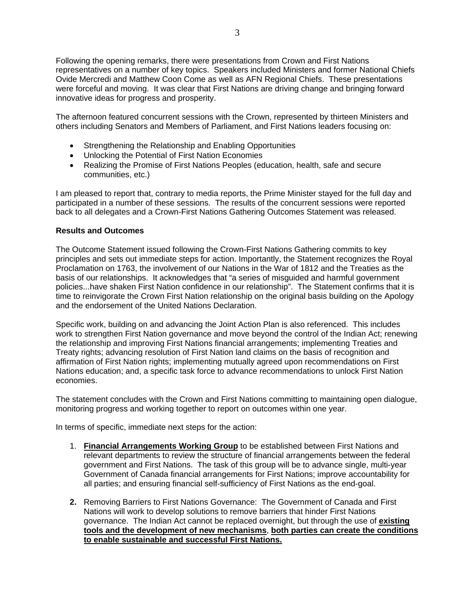Following the opening remarks, there were presentations from Crown and First Nations representatives on a number of key topics. Speakers included Ministers and former National Chiefs Ovide Mercredi and Matthew Coon Come as well as AFN Regional Chiefs. These presentations were forceful and moving. It was clear that First Nations are driving change and bringing forward innovative ideas for progress and prosperity.

The afternoon featured concurrent sessions with the Crown, represented by thirteen Ministers and others including Senators and Members of Parliament, and First Nations leaders focusing on:

- Strengthening the Relationship and Enabling Opportunities
- Unlocking the Potential of First Nation Economies
- Realizing the Promise of First Nations Peoples (education, health, safe and secure communities, etc.)

I am pleased to report that, contrary to media reports, the Prime Minister stayed for the full day and participated in a number of these sessions. The results of the concurrent sessions were reported back to all delegates and a Crown-First Nations Gathering Outcomes Statement was released.

# **Results and Outcomes**

The Outcome Statement issued following the Crown-First Nations Gathering commits to key principles and sets out immediate steps for action. Importantly, the Statement recognizes the Royal Proclamation on 1763, the involvement of our Nations in the War of 1812 and the Treaties as the basis of our relationships. It acknowledges that "a series of misguided and harmful government policies...have shaken First Nation confidence in our relationship". The Statement confirms that it is time to reinvigorate the Crown First Nation relationship on the original basis building on the Apology and the endorsement of the United Nations Declaration.

Specific work, building on and advancing the Joint Action Plan is also referenced. This includes work to strengthen First Nation governance and move beyond the control of the Indian Act; renewing the relationship and improving First Nations financial arrangements; implementing Treaties and Treaty rights; advancing resolution of First Nation land claims on the basis of recognition and affirmation of First Nation rights; implementing mutually agreed upon recommendations on First Nations education; and, a specific task force to advance recommendations to unlock First Nation economies.

The statement concludes with the Crown and First Nations committing to maintaining open dialogue, monitoring progress and working together to report on outcomes within one year.

In terms of specific, immediate next steps for the action:

- 1. **Financial Arrangements Working Group** to be established between First Nations and relevant departments to review the structure of financial arrangements between the federal government and First Nations. The task of this group will be to advance single, multi-year Government of Canada financial arrangements for First Nations; improve accountability for all parties; and ensuring financial self-sufficiency of First Nations as the end-goal.
- **2.** Removing Barriers to First Nations Governance: The Government of Canada and First Nations will work to develop solutions to remove barriers that hinder First Nations governance. The Indian Act cannot be replaced overnight, but through the use of **existing tools and the development of new mechanisms**, **both parties can create the conditions to enable sustainable and successful First Nations.**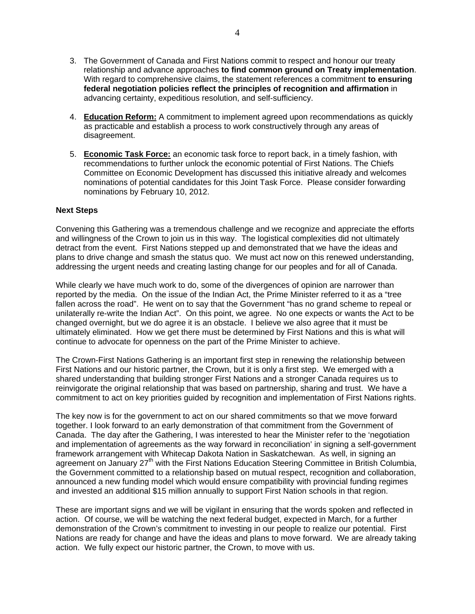- 3. The Government of Canada and First Nations commit to respect and honour our treaty relationship and advance approaches **to find common ground on Treaty implementation**. With regard to comprehensive claims, the statement references a commitment **to ensuring federal negotiation policies reflect the principles of recognition and affirmation** in advancing certainty, expeditious resolution, and self-sufficiency.
- 4. **Education Reform:** A commitment to implement agreed upon recommendations as quickly as practicable and establish a process to work constructively through any areas of disagreement.
- 5. **Economic Task Force:** an economic task force to report back, in a timely fashion, with recommendations to further unlock the economic potential of First Nations. The Chiefs Committee on Economic Development has discussed this initiative already and welcomes nominations of potential candidates for this Joint Task Force. Please consider forwarding nominations by February 10, 2012.

### **Next Steps**

Convening this Gathering was a tremendous challenge and we recognize and appreciate the efforts and willingness of the Crown to join us in this way. The logistical complexities did not ultimately detract from the event. First Nations stepped up and demonstrated that we have the ideas and plans to drive change and smash the status quo. We must act now on this renewed understanding, addressing the urgent needs and creating lasting change for our peoples and for all of Canada.

While clearly we have much work to do, some of the divergences of opinion are narrower than reported by the media. On the issue of the Indian Act, the Prime Minister referred to it as a "tree fallen across the road". He went on to say that the Government "has no grand scheme to repeal or unilaterally re-write the Indian Act". On this point, we agree. No one expects or wants the Act to be changed overnight, but we do agree it is an obstacle. I believe we also agree that it must be ultimately eliminated. How we get there must be determined by First Nations and this is what will continue to advocate for openness on the part of the Prime Minister to achieve.

The Crown-First Nations Gathering is an important first step in renewing the relationship between First Nations and our historic partner, the Crown, but it is only a first step. We emerged with a shared understanding that building stronger First Nations and a stronger Canada requires us to reinvigorate the original relationship that was based on partnership, sharing and trust. We have a commitment to act on key priorities guided by recognition and implementation of First Nations rights.

The key now is for the government to act on our shared commitments so that we move forward together. I look forward to an early demonstration of that commitment from the Government of Canada. The day after the Gathering, I was interested to hear the Minister refer to the 'negotiation and implementation of agreements as the way forward in reconciliation' in signing a self-government framework arrangement with Whitecap Dakota Nation in Saskatchewan. As well, in signing an agreement on January 27<sup>th</sup> with the First Nations Education Steering Committee in British Columbia. the Government committed to a relationship based on mutual respect, recognition and collaboration, announced a new funding model which would ensure compatibility with provincial funding regimes and invested an additional \$15 million annually to support First Nation schools in that region.

These are important signs and we will be vigilant in ensuring that the words spoken and reflected in action. Of course, we will be watching the next federal budget, expected in March, for a further demonstration of the Crown's commitment to investing in our people to realize our potential. First Nations are ready for change and have the ideas and plans to move forward. We are already taking action. We fully expect our historic partner, the Crown, to move with us.